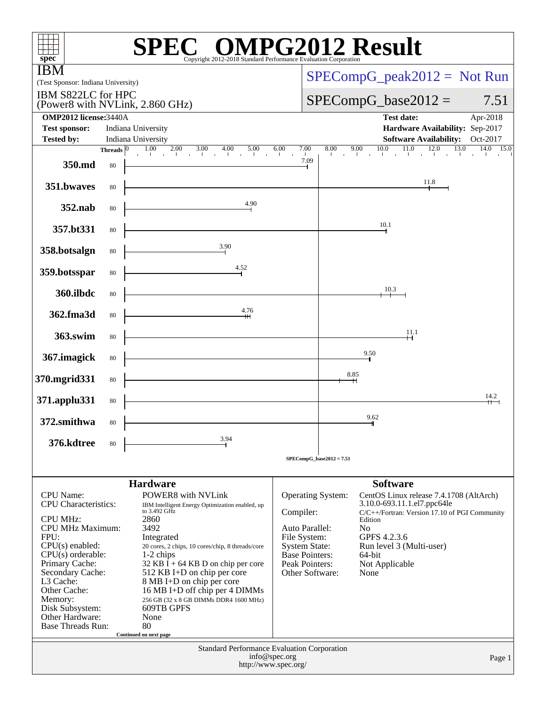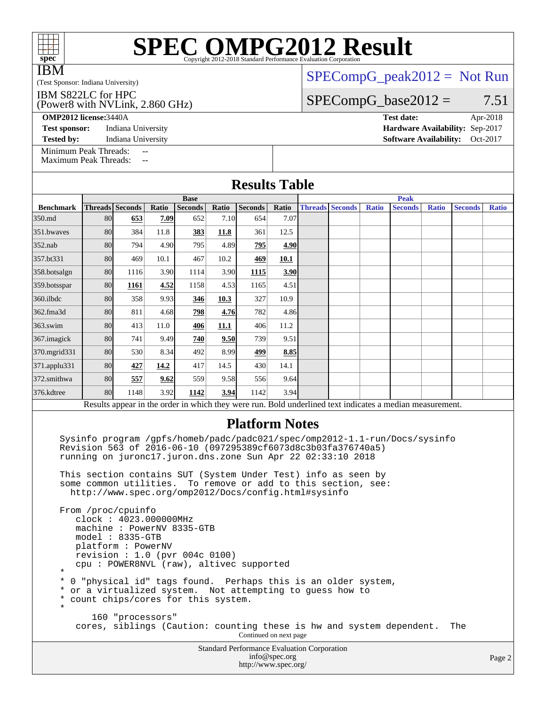| <b>IBM</b>                                                                                                                |    |                                                                                                                                                        |       |                               |             |                                                                                                                                                                                                                                                                                                                        | $SPECompG_peak2012 = Not Run$ |  |                        |       |                                                                                                          |       |                |              |
|---------------------------------------------------------------------------------------------------------------------------|----|--------------------------------------------------------------------------------------------------------------------------------------------------------|-------|-------------------------------|-------------|------------------------------------------------------------------------------------------------------------------------------------------------------------------------------------------------------------------------------------------------------------------------------------------------------------------------|-------------------------------|--|------------------------|-------|----------------------------------------------------------------------------------------------------------|-------|----------------|--------------|
| (Test Sponsor: Indiana University)<br>IBM S822LC for HPC                                                                  |    |                                                                                                                                                        |       |                               |             |                                                                                                                                                                                                                                                                                                                        | $SPECompG_base2012 =$         |  |                        |       |                                                                                                          |       |                |              |
| (Power8 with NVLink, 2.860 GHz)                                                                                           |    |                                                                                                                                                        |       |                               |             |                                                                                                                                                                                                                                                                                                                        |                               |  |                        |       |                                                                                                          |       | 7.51           |              |
| <b>OMP2012</b> license: 3440A                                                                                             |    |                                                                                                                                                        |       |                               |             |                                                                                                                                                                                                                                                                                                                        |                               |  |                        |       | <b>Test date:</b>                                                                                        |       |                | Apr-2018     |
| Hardware Availability: Sep-2017<br><b>Test sponsor:</b><br>Indiana University                                             |    |                                                                                                                                                        |       |                               |             |                                                                                                                                                                                                                                                                                                                        |                               |  |                        |       |                                                                                                          |       |                |              |
| <b>Tested by:</b>                                                                                                         |    | Indiana University                                                                                                                                     |       |                               |             |                                                                                                                                                                                                                                                                                                                        |                               |  |                        |       | <b>Software Availability:</b>                                                                            |       |                | Oct-2017     |
| Minimum Peak Threads:<br><b>Maximum Peak Threads:</b>                                                                     |    | $-$                                                                                                                                                    | $-$   |                               |             |                                                                                                                                                                                                                                                                                                                        |                               |  |                        |       |                                                                                                          |       |                |              |
| <b>Results Table</b>                                                                                                      |    |                                                                                                                                                        |       |                               |             |                                                                                                                                                                                                                                                                                                                        |                               |  |                        |       |                                                                                                          |       |                |              |
| <b>Benchmark</b>                                                                                                          |    | Threads Seconds                                                                                                                                        | Ratio | <b>Base</b><br><b>Seconds</b> | Ratio       | <b>Seconds</b>                                                                                                                                                                                                                                                                                                         | Ratio                         |  | <b>Threads Seconds</b> | Ratio | <b>Peak</b><br><b>Seconds</b>                                                                            | Ratio | <b>Seconds</b> | <b>Ratio</b> |
| 350.md                                                                                                                    | 80 | 653                                                                                                                                                    | 7.09  | 652                           | 7.10        | 654                                                                                                                                                                                                                                                                                                                    | 7.07                          |  |                        |       |                                                                                                          |       |                |              |
| 351.bwayes                                                                                                                | 80 | 384                                                                                                                                                    | 11.8  | 383                           | 11.8        | 361                                                                                                                                                                                                                                                                                                                    | 12.5                          |  |                        |       |                                                                                                          |       |                |              |
| 352.nab                                                                                                                   | 80 | 794                                                                                                                                                    | 4.90  | 795                           | 4.89        | 795                                                                                                                                                                                                                                                                                                                    | 4.90                          |  |                        |       |                                                                                                          |       |                |              |
| 357.bt331                                                                                                                 | 80 | 469                                                                                                                                                    | 10.1  | 467                           | 10.2        | 469                                                                                                                                                                                                                                                                                                                    | 10.1                          |  |                        |       |                                                                                                          |       |                |              |
| 358.botsalgn                                                                                                              | 80 | 1116                                                                                                                                                   | 3.90  | 1114                          | 3.90        | 1115                                                                                                                                                                                                                                                                                                                   | 3.90                          |  |                        |       |                                                                                                          |       |                |              |
| 359.botsspar                                                                                                              | 80 | 1161                                                                                                                                                   | 4.52  | 1158                          | 4.53        | 1165                                                                                                                                                                                                                                                                                                                   | 4.51                          |  |                        |       |                                                                                                          |       |                |              |
| 360.ilbdc                                                                                                                 | 80 | 358                                                                                                                                                    | 9.93  | 346                           | 10.3        | 327                                                                                                                                                                                                                                                                                                                    | 10.9                          |  |                        |       |                                                                                                          |       |                |              |
| 362.fma3d                                                                                                                 | 80 | 811                                                                                                                                                    | 4.68  | 798                           | 4.76        | 782                                                                                                                                                                                                                                                                                                                    | 4.86                          |  |                        |       |                                                                                                          |       |                |              |
| 363.swim                                                                                                                  | 80 | 413                                                                                                                                                    | 11.0  | 406                           | <b>11.1</b> | 406                                                                                                                                                                                                                                                                                                                    | 11.2                          |  |                        |       |                                                                                                          |       |                |              |
| 367. imagick                                                                                                              | 80 | 741                                                                                                                                                    | 9.49  | 740                           | 9.50        | 739                                                                                                                                                                                                                                                                                                                    | 9.51                          |  |                        |       |                                                                                                          |       |                |              |
| 370.mgrid331                                                                                                              | 80 | 530                                                                                                                                                    | 8.34  | 492                           | 8.99        | 499                                                                                                                                                                                                                                                                                                                    | 8.85                          |  |                        |       |                                                                                                          |       |                |              |
| 371.applu331                                                                                                              | 80 | 427                                                                                                                                                    | 14.2  | 417                           | 14.5        | 430                                                                                                                                                                                                                                                                                                                    | 14.1                          |  |                        |       |                                                                                                          |       |                |              |
| 372.smithwa                                                                                                               | 80 | 557                                                                                                                                                    | 9.62  | 559                           | 9.58        | 556                                                                                                                                                                                                                                                                                                                    | 9.64                          |  |                        |       |                                                                                                          |       |                |              |
| 376.kdtree                                                                                                                | 80 | 1148                                                                                                                                                   | 3.92  | 1142                          | 3.94        | 1142                                                                                                                                                                                                                                                                                                                   | 3.94                          |  |                        |       |                                                                                                          |       |                |              |
|                                                                                                                           |    |                                                                                                                                                        |       |                               |             |                                                                                                                                                                                                                                                                                                                        |                               |  |                        |       | Results appear in the order in which they were run. Bold underlined text indicates a median measurement. |       |                |              |
|                                                                                                                           |    |                                                                                                                                                        |       |                               |             | <b>Platform Notes</b>                                                                                                                                                                                                                                                                                                  |                               |  |                        |       |                                                                                                          |       |                |              |
|                                                                                                                           |    |                                                                                                                                                        |       |                               |             | Revision 563 of 2016-06-10 (097295389cf6073d8c3b03fa376740a5)<br>running on juronc17.juron.dns.zone Sun Apr 22 02:33:10 2018<br>This section contains SUT (System Under Test) info as seen by<br>some common utilities. To remove or add to this section, see:<br>http://www.spec.org/omp2012/Docs/config.html#sysinfo |                               |  |                        |       | Sysinfo program /gpfs/homeb/padc/padc021/spec/omp2012-1.1-run/Docs/sysinfo                               |       |                |              |
| $^\star$                                                                                                                  |    | From /proc/cpuinfo<br>clock: 4023.000000MHz<br>machine: PowerNV 8335-GTB<br>$model: 8335-GTB$<br>platform: PowerNV<br>revision : $1.0$ (pvr 004c 0100) |       |                               |             | cpu: POWER8NVL (raw), altivec supported                                                                                                                                                                                                                                                                                |                               |  |                        |       |                                                                                                          |       |                |              |
| *<br>*<br>*<br>$^\star$                                                                                                   |    | count chips/cores for this system.                                                                                                                     |       |                               |             | 0 "physical id" tags found. Perhaps this is an older system,<br>or a virtualized system. Not attempting to guess how to                                                                                                                                                                                                |                               |  |                        |       |                                                                                                          |       |                |              |
| 160 "processors"<br>cores, siblings (Caution: counting these is hw and system dependent.<br>The<br>Continued on next page |    |                                                                                                                                                        |       |                               |             |                                                                                                                                                                                                                                                                                                                        |                               |  |                        |       |                                                                                                          |       |                |              |
|                                                                                                                           |    |                                                                                                                                                        |       |                               |             | <b>Standard Performance Evaluation Corporation</b>                                                                                                                                                                                                                                                                     | info@spec.org                 |  |                        |       |                                                                                                          |       |                | Page 2       |

<http://www.spec.org/>

# **[SPEC OMPG2012 Result](http://www.spec.org/auto/omp2012/Docs/result-fields.html#SPECOMPG2012Result)**

Page 2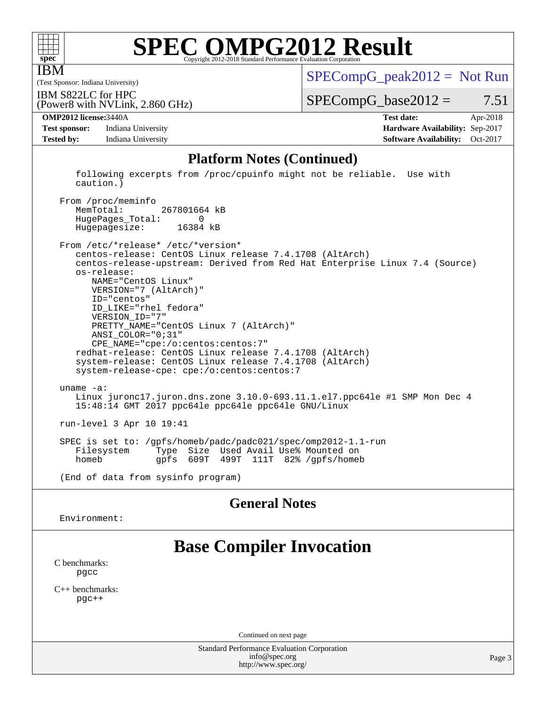

IBM

## **[SPEC OMPG2012 Result](http://www.spec.org/auto/omp2012/Docs/result-fields.html#SPECOMPG2012Result)**

 $SPECompG_peak2012 = Not Run$  $SPECompG_peak2012 = Not Run$ 

(Test Sponsor: Indiana University) IBM S822LC for HPC

 $SPECompG_base2012 = 7.51$  $SPECompG_base2012 = 7.51$ 

**[Test sponsor:](http://www.spec.org/auto/omp2012/Docs/result-fields.html#Testsponsor)** Indiana University **[Hardware Availability:](http://www.spec.org/auto/omp2012/Docs/result-fields.html#HardwareAvailability)** Sep-2017 **[Tested by:](http://www.spec.org/auto/omp2012/Docs/result-fields.html#Testedby)** Indiana University **[Software Availability:](http://www.spec.org/auto/omp2012/Docs/result-fields.html#SoftwareAvailability)** Oct-2017

(Power8 with NVLink, 2.860 GHz)

**[OMP2012 license:](http://www.spec.org/auto/omp2012/Docs/result-fields.html#OMP2012license)**3440A **[Test date:](http://www.spec.org/auto/omp2012/Docs/result-fields.html#Testdate)** Apr-2018

#### **[Platform Notes \(Continued\)](http://www.spec.org/auto/omp2012/Docs/result-fields.html#PlatformNotes)**

 following excerpts from /proc/cpuinfo might not be reliable. Use with caution.) From /proc/meminfo

 MemTotal: 267801664 kB HugePages\_Total: 0 Hugepagesize: 16384 kB

 From /etc/\*release\* /etc/\*version\* centos-release: CentOS Linux release 7.4.1708 (AltArch) centos-release-upstream: Derived from Red Hat Enterprise Linux 7.4 (Source) os-release: NAME="CentOS Linux" VERSION="7 (AltArch)" ID="centos" ID\_LIKE="rhel fedora" VERSION\_ID="7" PRETTY\_NAME="CentOS Linux 7 (AltArch)" ANSI\_COLOR="0;31" CPE\_NAME="cpe:/o:centos:centos:7" redhat-release: CentOS Linux release 7.4.1708 (AltArch) system-release: CentOS Linux release 7.4.1708 (AltArch) system-release-cpe: cpe:/o:centos:centos:7 uname -a: Linux juronc17.juron.dns.zone 3.10.0-693.11.1.el7.ppc64le #1 SMP Mon Dec 4 15:48:14 GMT 2017 ppc64le ppc64le ppc64le GNU/Linux run-level 3 Apr 10 19:41 SPEC is set to: /gpfs/homeb/padc/padc021/spec/omp2012-1.1-run Type Size Used Avail Use% Mounted on

homeb gpfs 609T 499T 111T 82% /gpfs/homeb

(End of data from sysinfo program)

### **[General Notes](http://www.spec.org/auto/omp2012/Docs/result-fields.html#GeneralNotes)**

Environment:

### **[Base Compiler Invocation](http://www.spec.org/auto/omp2012/Docs/result-fields.html#BaseCompilerInvocation)**

[C benchmarks](http://www.spec.org/auto/omp2012/Docs/result-fields.html#Cbenchmarks): [pgcc](http://www.spec.org/omp2012/results/res2018q2/omp2012-20180605-00148.flags.html#user_CCbase_pgcc_l)

[C++ benchmarks:](http://www.spec.org/auto/omp2012/Docs/result-fields.html#CXXbenchmarks) [pgc++](http://www.spec.org/omp2012/results/res2018q2/omp2012-20180605-00148.flags.html#user_CXXbase_pgcpp_l_e5fc4a0ead554906661557a60ef932e8)

Continued on next page

Standard Performance Evaluation Corporation [info@spec.org](mailto:info@spec.org) <http://www.spec.org/>

Page 3